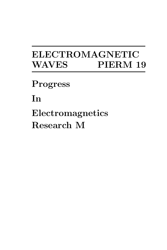# ELECTROMAGNETIC WAVES PIERM 19

Progress

In

Electromagnetics Research M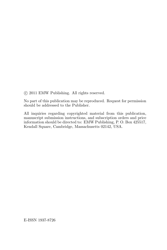°c 2011 EMW Publishing. All rights reserved.

No part of this publication may be reproduced. Request for permission should be addressed to the Publisher.

All inquiries regarding copyrighted material from this publication, manuscript submission instructions, and subscription orders and price information should be directed to: EMW Publishing, P. O. Box 425517, Kendall Square, Cambridge, Massachusetts 02142, USA.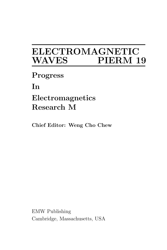## ELECTROMAGNETIC WAVES **WAVES**

Progress

In

### Electromagnetics Research M

Chief Editor: Weng Cho Chew

EMW Publishing Cambridge, Massachusetts, USA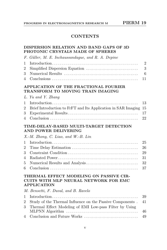#### **CONTENTS**

#### DISPERSION RELATION AND BAND GAPS OF 3D PHOTONIC CRYSTALS MADE OF SPHERES

| F. Güller, M. E. Inchaussandague, and R. A. Depine |  |
|----------------------------------------------------|--|
|                                                    |  |
|                                                    |  |
|                                                    |  |
|                                                    |  |
|                                                    |  |

#### APPLICATION OF THE FRACTIONAL FOURIER TRANSFORM TO MOVING TRAIN IMAGING

|  |  | L. Yu and Y. Zhang |
|--|--|--------------------|
|  |  |                    |

| 2 Brief Introduction to FrFT and Its Application in SAR Imaging 15 |  |
|--------------------------------------------------------------------|--|
|                                                                    |  |
|                                                                    |  |

#### TIME-DELAY-BASED MULTI-TARGET DETECTION AND POWER DELIVERING

#### X.-M. Zhong, C. Liao, and W.-B. Lin

#### THERMAL EFFECT MODELING ON PASSIVE CIR-CUITS WITH MLP NEURAL NETWORK FOR EMC APPLICATION

| M. Bensetti, F. Duval, and B. Ravelo |  |  |
|--------------------------------------|--|--|
|                                      |  |  |

| 2 Study of the Thermal Influence on the Passive Components . 41 |  |
|-----------------------------------------------------------------|--|
| 3 Thermal Effect Modeling of EMI Low-pass Filter by Using       |  |
|                                                                 |  |
|                                                                 |  |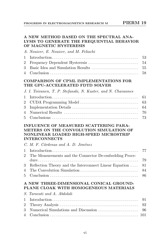#### A NEW METHOD BASED ON THE SPECTRAL ANA-LYSIS TO GENERATE THE FREQUENTIAL BEHAVIOR OF MAGNETIC HYSTERESIS

| A. Nouicer, E. Nouicer, and M. Feliachi |
|-----------------------------------------|
|                                         |
|                                         |
|                                         |
|                                         |
|                                         |

#### COMPARISON OF CPML IMPLEMENTATIONS FOR THE GPU-ACCELERATED FDTD SOLVER

| J. I. Toivanen, T. P. Stefanski, N. Kuster, and N. Chavannes |  |
|--------------------------------------------------------------|--|
|                                                              |  |
|                                                              |  |
|                                                              |  |
|                                                              |  |
|                                                              |  |

#### INFLUENCE OF MEASURED SCATTERING PARA-METERS ON THE CONVOLUTION SIMULATION OF NONLINEAR LOADED HIGH-SPEED MICROSTRIP INTERCONNECTS

| C. M. F. Cárdenas and A. D. Jiménez                          |  |
|--------------------------------------------------------------|--|
|                                                              |  |
| 2 The Measurements and the Connector De-embedding Proce-     |  |
|                                                              |  |
| 3 Reflection Theory and the Interconnect Linear Equation  81 |  |
|                                                              |  |
|                                                              |  |

#### A NEW THREE-DIMENSIONAL CONICAL GROUND-PLANE CLOAK WITH HOMOGENEOUS MATERIALS

| S. Taravati and A. Abdolali |  |
|-----------------------------|--|
|                             |  |
|                             |  |
|                             |  |
|                             |  |
|                             |  |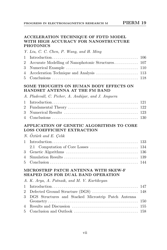#### ACCELERATION TECHNIQUE OF FDTD MODEL WITH HIGH ACCURACY FOR NANOSTRUCTURE PHOTONICS

#### Y. Liu, C. C. Chen, P. Wang, and H. Ming

#### SOME THOUGHTS ON HUMAN BODY EFFECTS ON HANDSET ANTENNA AT THE FM BAND

|  | A. Pladevall, C. Picher, A. Andújar, and J. Anguera |  |  |  |  |  |  |  |
|--|-----------------------------------------------------|--|--|--|--|--|--|--|
|--|-----------------------------------------------------|--|--|--|--|--|--|--|

#### APPLICATION OF GENETIC ALGORITHMS TO CORE LOSS COEFFICIENT EXTRACTION

#### N.  $\ddot{O}z\ddot{t}$  and E. Celik

#### MICROSTRIP PATCH ANTENNA WITH SKEW-F SHAPED DGS FOR DUAL BAND OPERATION

|  |  |  |  |  |  |  |  | A. K. Arya, A. Patnaik, and M. V. Kartikeyan |
|--|--|--|--|--|--|--|--|----------------------------------------------|
|--|--|--|--|--|--|--|--|----------------------------------------------|

| 3 DGS Structures and Stacked Microstrip Patch Antenna |  |
|-------------------------------------------------------|--|
|                                                       |  |
|                                                       |  |
|                                                       |  |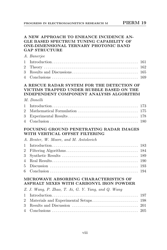#### A NEW APPROACH TO ENHANCE INCIDENCE AN-GLE BASED SPECTRUM TUNING CAPABILITY OF ONE-DIMENSIONAL TERNARY PHOTONIC BAND GAP STRUCTURE

| A. Banerjee |  |
|-------------|--|
|             |  |
|             |  |

#### A RESCUE RADAR SYSTEM FOR THE DETECTION OF VICTIMS TRAPPED UNDER RUBBLE BASED ON THE INDEPENDENT COMPONENT ANALYSIS ALGORITHM

#### M. Donelli

#### FOCUSING GROUND PENETRATING RADAR IMAGES WITH VERTICAL OFFSET FILTERING

|  |  | A. Benter, W. Moore, and M. Antolovich |
|--|--|----------------------------------------|
|  |  |                                        |

#### MICROWAVE ABSORBING CHARACTERISTICS OF ASPHALT MIXES WITH CARBONYL IRON POWDER

| Z. J. Wang, P. Zhao, T. Ai, G. Y. Yang, and Q. Wang |  |
|-----------------------------------------------------|--|
|                                                     |  |
|                                                     |  |
|                                                     |  |
|                                                     |  |